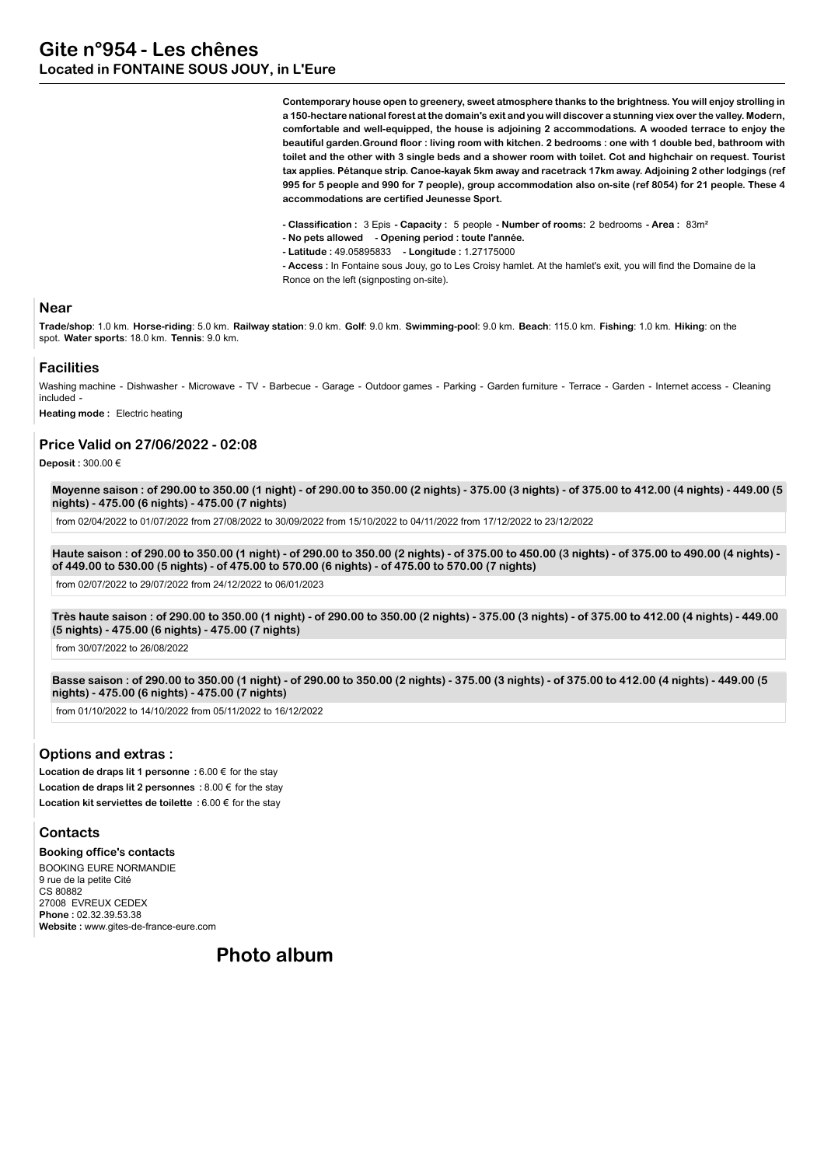**Contemporary house open to greenery, sweet atmosphere thanks to the brightness. You will enjoy strolling in a 150-hectare national forest at the domain's exit and you will discover a stunning viex over the valley. Modern, comfortable and well-equipped, the house is adjoining 2 accommodations. A wooded terrace to enjoy the beautiful garden.Ground floor : living room with kitchen. 2 bedrooms : one with 1 double bed, bathroom with toilet and the other with 3 single beds and a shower room with toilet. Cot and highchair on request. Tourist tax applies. Pétanque strip. Canoe-kayak 5km away and racetrack 17km away. Adjoining 2 other lodgings (ref 995 for 5 people and 990 for 7 people), group accommodation also on-site (ref 8054) for 21 people. These 4 accommodations are certified Jeunesse Sport.**

- **Classification :** 3 Epis  **Capacity :** 5 people  **Number of rooms:** 2 bedrooms  **Area :** 83m²
- **No pets allowed Opening period : toute l'année.**
- **Latitude :** 49.05895833  **Longitude :** 1.27175000

**- Access :** In Fontaine sous Jouy, go to Les Croisy hamlet. At the hamlet's exit, you will find the Domaine de la Ronce on the left (signposting on-site).

#### **Near**

**Trade/shop**: 1.0 km. **Horse-riding**: 5.0 km. **Railway station**: 9.0 km. **Golf**: 9.0 km. **Swimming-pool**: 9.0 km. **Beach**: 115.0 km. **Fishing**: 1.0 km. **Hiking**: on the spot. **Water sports**: 18.0 km. **Tennis**: 9.0 km.

#### **Facilities**

Washing machine - Dishwasher - Microwave - TV - Barbecue - Garage - Outdoor games - Parking - Garden furniture - Terrace - Garden - Internet access - Cleaning included -

**Heating mode :** Electric heating

#### **Price Valid on 27/06/2022 - 02:08**

**Deposit :** 300.00 €

**Moyenne saison : of 290.00 to 350.00 (1 night) - of 290.00 to 350.00 (2 nights) - 375.00 (3 nights) - of 375.00 to 412.00 (4 nights) - 449.00 (5 nights) - 475.00 (6 nights) - 475.00 (7 nights)**

from 02/04/2022 to 01/07/2022 from 27/08/2022 to 30/09/2022 from 15/10/2022 to 04/11/2022 from 17/12/2022 to 23/12/2022

**Haute saison : of 290.00 to 350.00 (1 night) - of 290.00 to 350.00 (2 nights) - of 375.00 to 450.00 (3 nights) - of 375.00 to 490.00 (4 nights) of 449.00 to 530.00 (5 nights) - of 475.00 to 570.00 (6 nights) - of 475.00 to 570.00 (7 nights)**

from 02/07/2022 to 29/07/2022 from 24/12/2022 to 06/01/2023

**Très haute saison : of 290.00 to 350.00 (1 night) - of 290.00 to 350.00 (2 nights) - 375.00 (3 nights) - of 375.00 to 412.00 (4 nights) - 449.00 (5 nights) - 475.00 (6 nights) - 475.00 (7 nights)**

from 30/07/2022 to 26/08/2022

**Basse saison : of 290.00 to 350.00 (1 night) - of 290.00 to 350.00 (2 nights) - 375.00 (3 nights) - of 375.00 to 412.00 (4 nights) - 449.00 (5 nights) - 475.00 (6 nights) - 475.00 (7 nights)**

from 01/10/2022 to 14/10/2022 from 05/11/2022 to 16/12/2022

#### **Options and extras :**

**Location de draps lit 1 personne :** 6.00 € for the stay **Location de draps lit 2 personnes :** 8.00 € for the stay **Location kit serviettes de toilette :** 6.00 € for the stay

## **Contacts**

**Booking office's contacts** BOOKING EURE NORMANDIE 9 rue de la petite Cité CS 80882 27008 EVREUX CEDEX **Phone :** 02.32.39.53.38 **Website :** www.gites-de-france-eure.com